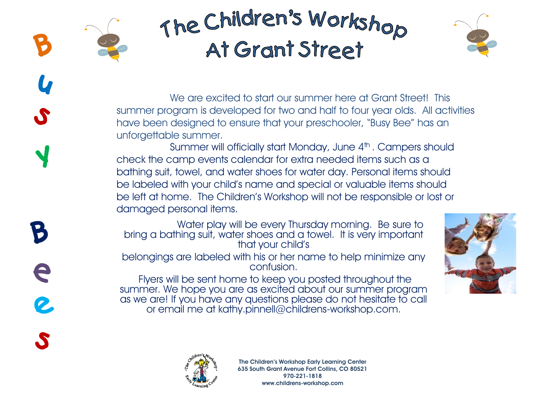

We are excited to start our summer here at Grant Street! This summer program is developed for two and half to four year olds. All activities have been designed to ensure that your preschooler, "Busy Bee" has an unforgettable summer.

Summer will officially start Monday, June 4<sup>th</sup>. Campers should check the camp events calendar for extra needed items such as a bathing suit, towel, and water shoes for water day. Personal items should be labeled with your child's name and special or valuable items should be left at home. The Children's Workshop will not be responsible or lost or damaged personal items.

Water play will be every Thursday morning. Be sure to bring a bathing suit, water shoes and a towel. It is very important that your child's

belongings are labeled with his or her name to help minimize any confusion.

Flyers will be sent home to keep you posted throughout the summer. We hope you are as excited about our summer program as we are! If you have any questions please do not hesitate to call or email me at kathy.pinnell@childrens-workshop.com.





S

B

e

2

S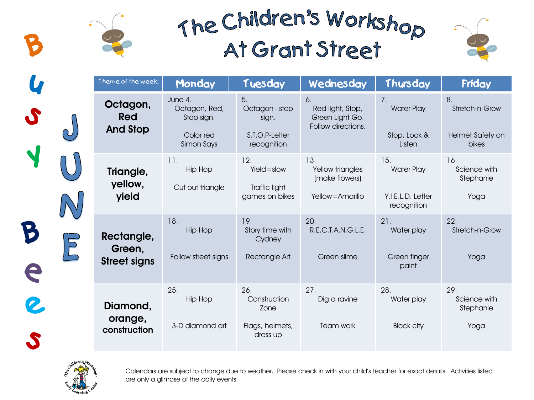7.

15.

21.

28.

Water Play

Stop, Look & **Listen** 

Water Play

Y.I.E.L.D. Letter recognition

Water play

Green finger paint

Water play

Block city



Stretch-n-Grow

Helmet Safety on bikes

> Science with Stephanie

> > Yoga

Stretch-n-Grow

Yoga

Science with Stephanie

Yoga

8.

16.

22.

29.

Theme of the week:**Monday Tuesday Wednesday Thursday Friday** June 4. 5. 6. **Octagon,**  Octagon, Red, Octagon –stop Red light, Stop, S **Red**  Stop sign. Green Light Go. sign. Follow directions. **And Stop** Color red S.T.O.P-Letter Simon Says recognition 12. 13. 11. Hip Hop Yield=slow Yellow triangles **Triangle,**  (make flowers) **yellow,**  Cut out triangle Traffic light **yield** games on bikes Yellow=Amarillo 18. 19. 20. B Hip Hop Story time with R.E.C.T.A.N.G.L.E. **Rectangle,**   $\overline{P}$ **Cydney Green,**  Follow street signs Rectangle Art Green slime **Street signs** A 25. 26. 27. Hip Hop **Construction** Dig a ravine **Diamond,**  Zone **orange,**  Flags, helmets, 3-D diamond art Team work **construction** dress up



Calendars are subject to change due to weather. Please check in with your child's teacher for exact details. Activities listed are only a glimpse of the daily events.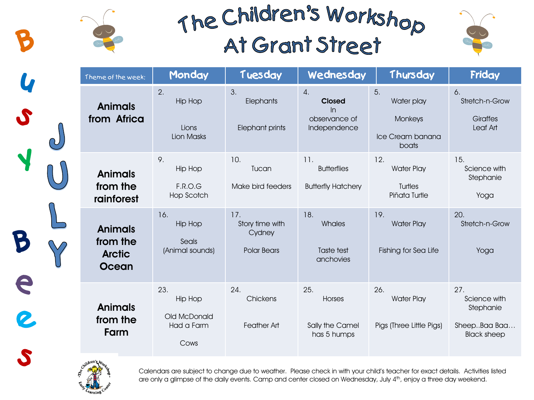



| Theme of the week:                                          | Monday                                                      | Tuesday                                         | Wednesday                                                                | Thursday                                                 | Friday                                                                 |
|-------------------------------------------------------------|-------------------------------------------------------------|-------------------------------------------------|--------------------------------------------------------------------------|----------------------------------------------------------|------------------------------------------------------------------------|
| <b>Animals</b><br>from Africa                               | 2.<br><b>Hip Hop</b><br>Lions<br>Lion Masks                 | 3.<br>Elephants<br>Elephant prints              | $\overline{4}$ .<br><b>Closed</b><br>In<br>observance of<br>Independence | 5.<br>Water play<br>Monkeys<br>Ice Cream banana<br>boats | 6.<br>Stretch-n-Grow<br>Giraffes<br>Leaf Art                           |
| <b>Animals</b><br>from the<br>rainforest                    | 9.<br><b>Hip Hop</b><br>F.R.O.G<br>Hop Scotch               | 10.<br>Tucan<br>Make bird feeders               | 11.<br><b>Butterflies</b><br><b>Butterfly Hatchery</b>                   | 12.<br><b>Water Play</b><br>Turtles<br>Piñata Turtle     | 15.<br>Science with<br>Stephanie<br>Yoga                               |
| <b>Animals</b><br>from the<br><b>Arctic</b><br><b>Ocean</b> | 16.<br><b>Hip Hop</b><br>Seals<br>(Animal sounds)           | 17.<br>Story time with<br>Cydney<br>Polar Bears | 18.<br>Whales<br>Taste test<br>anchovies                                 | 19.<br><b>Water Play</b><br>Fishing for Sea Life         | 20.<br>Stretch-n-Grow<br>Yoga                                          |
| <b>Animals</b><br>from the<br>Farm                          | 23.<br><b>Hip Hop</b><br>Old McDonald<br>Had a Farm<br>Cows | 24.<br>Chickens<br>Feather Art                  | 25.<br>Horses<br>Sally the Camel<br>has 5 humps                          | 26.<br><b>Water Play</b><br>Pigs (Three Little Pigs)     | 27.<br>Science with<br>Stephanie<br>SheepBaa Baa<br><b>Black sheep</b> |



2

Calendars are subject to change due to weather. Please check in with your child's teacher for exact details. Activities listed are only a glimpse of the daily events. Camp and center closed on Wednesday, July 4<sup>th</sup>, enjoy a three day weekend.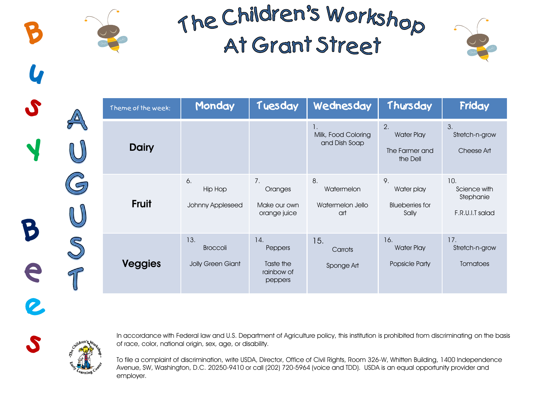

|    | Theme of the week: | Monday                                      | Tuesday                                              | Wednesday                                   | Thursday                                              | Friday                                              |
|----|--------------------|---------------------------------------------|------------------------------------------------------|---------------------------------------------|-------------------------------------------------------|-----------------------------------------------------|
|    | <b>Dairy</b>       |                                             |                                                      | 1.<br>Milk, Food Coloring<br>and Dish Soap  | 2.<br><b>Water Play</b><br>The Farmer and<br>the Dell | 3.<br>Stretch-n-grow<br>Cheese Art                  |
|    | <b>Fruit</b>       | 6.<br><b>Hip Hop</b><br>Johnny Appleseed    | 7.<br>Oranges<br>Make our own<br>orange juice        | 8.<br>Watermelon<br>Watermelon Jello<br>art | 9.<br>Water play<br><b>Blueberries for</b><br>Sally   | 10.<br>Science with<br>Stephanie<br>F.R.U.I.T salad |
| 91 | <b>Veggies</b>     | 13.<br><b>Broccoli</b><br>Jolly Green Giant | 14.<br>Peppers<br>Taste the<br>rainbow of<br>peppers | 15.<br>Carrots<br>Sponge Art                | 16.<br><b>Water Play</b><br>Popsicle Party            | 17.<br>Stretch-n-grow<br><b>Tomatoes</b>            |



S

e

2.

S

In accordance with Federal law and U.S. Department of Agriculture policy, this institution is prohibited from discriminating on the basis of race, color, national origin, sex, age, or disability.

To file a complaint of discrimination, write USDA, Director, Office of Civil Rights, Room 326-W, Whitten Building, 1400 Independence Avenue, SW, Washington, D.C. 20250-9410 or call (202) 720-5964 (voice and TDD). USDA is an equal opportunity provider and employer.